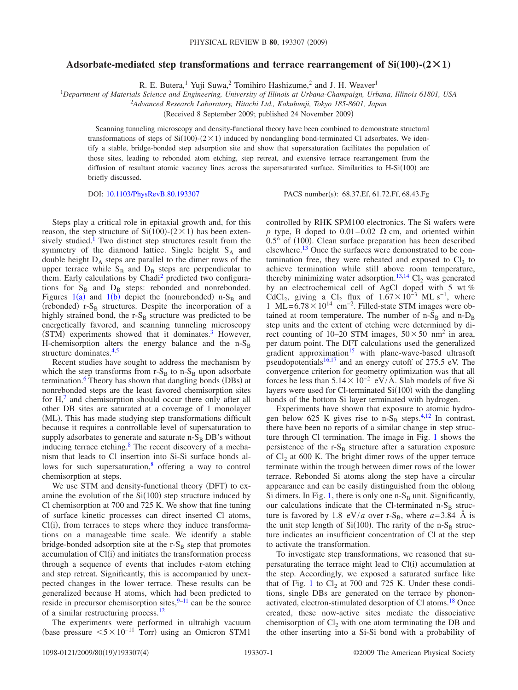## Adsorbate-mediated step transformations and terrace rearrangement of  $Si(100)-(2\times1)$

R. E. Butera,<sup>1</sup> Yuji Suwa,<sup>2</sup> Tomihiro Hashizume,<sup>2</sup> and J. H. Weaver<sup>1</sup>

1 *Department of Materials Science and Engineering, University of Illinois at Urbana-Champaign, Urbana, Illinois 61801, USA*

2 *Advanced Research Laboratory, Hitachi Ltd., Kokubunji, Tokyo 185-8601, Japan*

Received 8 September 2009; published 24 November 2009-

Scanning tunneling microscopy and density-functional theory have been combined to demonstrate structural transformations of steps of  $Si(100)$ - $(2 \times 1)$  induced by nondangling bond-terminated Cl adsorbates. We identify a stable, bridge-bonded step adsorption site and show that supersaturation facilitates the population of those sites, leading to rebonded atom etching, step retreat, and extensive terrace rearrangement from the diffusion of resultant atomic vacancy lines across the supersaturated surface. Similarities to H-Si(100) are briefly discussed.

DOI: [10.1103/PhysRevB.80.193307](http://dx.doi.org/10.1103/PhysRevB.80.193307)

PACS number(s): 68.37.Ef, 61.72.Ff, 68.43.Fg

Steps play a critical role in epitaxial growth and, for this reason, the step structure of  $Si(100)-(2\times1)$  has been extensively studied.<sup>1</sup> Two distinct step structures result from the symmetry of the diamond lattice. Single height  $S_A$  and double height  $D_A$  steps are parallel to the dimer rows of the upper terrace while  $S_B$  and  $D_B$  steps are perpendicular to them. Early calculations by Chadi<sup>2</sup> predicted two configurations for  $S_B$  and  $D_B$  steps: rebonded and nonrebonded. Figures [1](#page-1-0)(a) and 1(b) depict the (nonrebonded) n-S<sub>B</sub> and (rebonded)  $r-S_B$  structures. Despite the incorporation of a highly strained bond, the r- $S_B$  structure was predicted to be energetically favored, and scanning tunneling microscopy (STM) experiments showed that it dominates.<sup>3</sup> However, H-chemisorption alters the energy balance and the  $n-S_B$ structure dominates.<sup>4[,5](#page-3-4)</sup>

Recent studies have sought to address the mechanism by which the step transforms from  $r-S_B$  to n- $S_B$  upon adsorbate termination.<sup>6</sup> Theory has shown that dangling bonds (DBs) at nonrebonded steps are the least favored chemisorption sites for  $H<sub>1</sub><sup>7</sup>$  and chemisorption should occur there only after all other DB sites are saturated at a coverage of 1 monolayer (ML). This has made studying step transformations difficult because it requires a controllable level of supersaturation to supply adsorbates to generate and saturate  $n-S_B DB$ 's without inducing terrace etching.<sup>8</sup> The recent discovery of a mechanism that leads to Cl insertion into Si-Si surface bonds allows for such supersaturation, $\frac{8}{3}$  offering a way to control chemisorption at steps.

We use STM and density-functional theory (DFT) to examine the evolution of the  $Si(100)$  step structure induced by Cl chemisorption at 700 and 725 K. We show that fine tuning of surface kinetic processes can direct inserted Cl atoms, Cl(i), from terraces to steps where they induce transformations on a manageable time scale. We identify a stable bridge-bonded adsorption site at the  $r-S_B$  step that promotes accumulation of Cl(i) and initiates the transformation process through a sequence of events that includes r-atom etching and step retreat. Significantly, this is accompanied by unexpected changes in the lower terrace. These results can be generalized because H atoms, which had been predicted to reside in precursor chemisorption sites, $9-11$  can be the source of a similar restructuring process[.12](#page-3-10)

The experiments were performed in ultrahigh vacuum (base pressure  $5 \times 10^{-11}$  Torr) using an Omicron STM1

controlled by RHK SPM100 electronics. The Si wafers were *p* type, B doped to  $0.01-0.02$   $\Omega$  cm, and oriented within  $0.5^{\circ}$  of (100). Clean surface preparation has been described elsewhere.<sup>13</sup> Once the surfaces were demonstrated to be contamination free, they were reheated and exposed to  $Cl<sub>2</sub>$  to achieve termination while still above room temperature, thereby minimizing water adsorption.<sup>13[,14](#page-3-12)</sup> Cl<sub>2</sub> was generated by an electrochemical cell of AgCl doped with 5 wt *%* CdCl<sub>2</sub>, giving a Cl<sub>2</sub> flux of  $1.67\times10^{-3}$  ML s<sup>-1</sup>, where 1 ML= $6.78\times10^{14}$  cm<sup>-2</sup>. Filled-state STM images were obtained at room temperature. The number of  $n-S_B$  and  $n-D_B$ step units and the extent of etching were determined by direct counting of 10–20 STM images,  $50 \times 50$  nm<sup>2</sup> in area, per datum point. The DFT calculations used the generalized gradient approximation<sup>15</sup> with plane-wave-based ultrasoft pseudopotentials $16,17$  $16,17$  and an energy cutoff of 275.5 eV. The convergence criterion for geometry optimization was that all forces be less than  $5.14 \times 10^{-2}$  eV/Å. Slab models of five Si layers were used for Cl-terminated  $Si(100)$  with the dangling bonds of the bottom Si layer terminated with hydrogen.

Experiments have shown that exposure to atomic hydrogen below 625 K gives rise to  $n-S_B$  steps.<sup>4[,12](#page-3-10)</sup> In contrast, there have been no reports of a similar change in step structure through Cl termination. The image in Fig. [1](#page-1-0) shows the persistence of the  $r-S_B$  structure after a saturation exposure of  $Cl<sub>2</sub>$  at 600 K. The bright dimer rows of the upper terrace terminate within the trough between dimer rows of the lower terrace. Rebonded Si atoms along the step have a circular appearance and can be easily distinguished from the oblong Si dimers. In Fig. [1,](#page-1-0) there is only one  $n-S_B$  unit. Significantly, our calculations indicate that the Cl-terminated  $n-S_B$  structure is favored by 1.8 eV/*a* over r-S<sub>B</sub>, where  $a=3.84$  Å is the unit step length of  $Si(100)$ . The rarity of the n-S<sub>B</sub> structure indicates an insufficient concentration of Cl at the step to activate the transformation.

To investigate step transformations, we reasoned that supersaturating the terrace might lead to Cl(i) accumulation at the step. Accordingly, we exposed a saturated surface like that of Fig. [1](#page-1-0) to  $Cl_2$  at 700 and 725 K. Under these conditions, single DBs are generated on the terrace by phononactivated, electron-stimulated desorption of Cl atoms.<sup>18</sup> Once created, these now-active sites mediate the dissociative chemisorption of  $Cl_2$  with one atom terminating the DB and the other inserting into a Si-Si bond with a probability of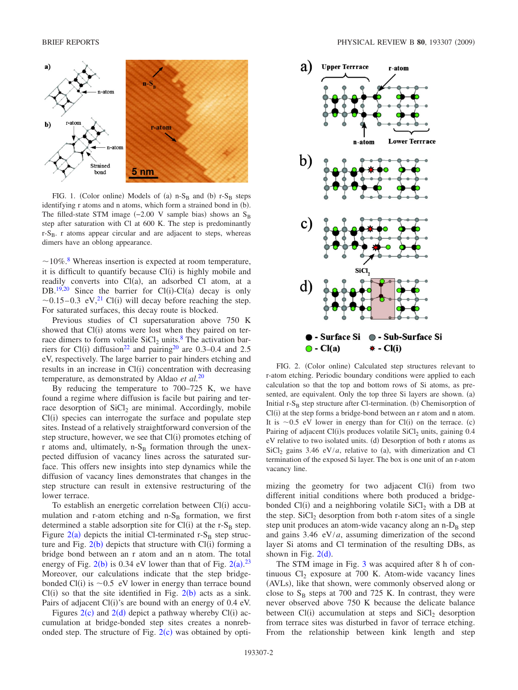<span id="page-1-0"></span>

FIG. 1. (Color online) Models of (a)  $n-S_B$  and (b)  $r-S_B$  steps identifying r atoms and n atoms, which form a strained bond in (b). The filled-state STM image  $(-2.00 \text{ V sample bias})$  shows an S<sub>B</sub> step after saturation with Cl at 600 K. The step is predominantly  $r-S_B$ . r atoms appear circular and are adjacent to steps, whereas dimers have an oblong appearance.

 $\sim$ 10%<sup>[8](#page-3-7)</sup>. Whereas insertion is expected at room temperature, it is difficult to quantify because  $Cl(i)$  is highly mobile and readily converts into Cl(a), an adsorbed Cl atom, at a DB.<sup>19,[20](#page-3-18)</sup> Since the barrier for Cl(i)-Cl(a) decay is only  $\sim$ 0.15–0.3 eV,<sup>21</sup> Cl(i) will decay before reaching the step. For saturated surfaces, this decay route is blocked.

Previous studies of Cl supersaturation above 750 K showed that  $Cl(i)$  atoms were lost when they paired on terrace dimers to form volatile  $SiCl<sub>2</sub>$  units.<sup>8</sup> The activation barriers for Cl(i) diffusion<sup>22</sup> and pairing<sup>20</sup> are 0.3–0.4 and 2.5 eV, respectively. The large barrier to pair hinders etching and results in an increase in Cl(i) concentration with decreasing temperature, as demonstrated by Aldao *et al.*[20](#page-3-18)

By reducing the temperature to 700–725 K, we have found a regime where diffusion is facile but pairing and terrace desorption of  $SiCl<sub>2</sub>$  are minimal. Accordingly, mobile Cl(i) species can interrogate the surface and populate step sites. Instead of a relatively straightforward conversion of the step structure, however, we see that  $Cl(i)$  promotes etching of  $r$  atoms and, ultimately, n-S<sub>B</sub> formation through the unexpected diffusion of vacancy lines across the saturated surface. This offers new insights into step dynamics while the diffusion of vacancy lines demonstrates that changes in the step structure can result in extensive restructuring of the lower terrace.

To establish an energetic correlation between Cl(i) accumulation and r-atom etching and  $n-S_B$  formation, we first determined a stable adsorption site for  $Cl(i)$  at the r-S<sub>B</sub> step. Figure  $2(a)$  $2(a)$  depicts the initial Cl-terminated r-S<sub>B</sub> step structure and Fig.  $2(b)$  $2(b)$  depicts that structure with Cl(i) forming a bridge bond between an r atom and an n atom. The total energy of Fig.  $2(b)$  $2(b)$  is 0.34 eV lower than that of Fig.  $2(a)$ .<sup>[23](#page-3-21)</sup> Moreover, our calculations indicate that the step bridgebonded Cl(i) is  $\sim 0.5$  eV lower in energy than terrace bound  $Cl(i)$  so that the site identified in Fig.  $2(b)$  $2(b)$  acts as a sink. Pairs of adjacent  $Cl(i)$ 's are bound with an energy of 0.4 eV.

Figures  $2(c)$  $2(c)$  and  $2(d)$  depict a pathway whereby Cl(i) accumulation at bridge-bonded step sites creates a nonrebonded step. The structure of Fig.  $2(c)$  $2(c)$  was obtained by opti-

<span id="page-1-1"></span>

FIG. 2. (Color online) Calculated step structures relevant to r-atom etching. Periodic boundary conditions were applied to each calculation so that the top and bottom rows of Si atoms, as presented, are equivalent. Only the top three Si layers are shown. (a) Initial  $r-S_B$  step structure after Cl-termination. (b) Chemisorption of  $Cl(i)$  at the step forms a bridge-bond between an r atom and n atom. It is  $\sim 0.5$  eV lower in energy than for Cl(i) on the terrace. (c) Pairing of adjacent Cl(i)s produces volatile  $SiCl<sub>2</sub>$  units, gaining 0.4 eV relative to two isolated units. (d) Desorption of both r atoms as  $\text{SiCl}_2$  gains 3.46 eV/*a*, relative to (a), with dimerization and Cl termination of the exposed Si layer. The box is one unit of an r-atom vacancy line.

mizing the geometry for two adjacent  $Cl(i)$  from two different initial conditions where both produced a bridgebonded  $Cl(i)$  and a neighboring volatile  $SiCl<sub>2</sub>$  with a DB at the step.  $SiCl<sub>2</sub>$  desorption from both r-atom sites of a single step unit produces an atom-wide vacancy along an  $n-D_B$  step and gains 3.46 eV/*a*, assuming dimerization of the second layer Si atoms and Cl termination of the resulting DBs, as shown in Fig.  $2(d)$  $2(d)$ .

The STM image in Fig. [3](#page-2-0) was acquired after 8 h of continuous  $Cl_2$  exposure at 700 K. Atom-wide vacancy lines (AVLs), like that shown, were commonly observed along or close to  $S_B$  steps at 700 and 725 K. In contrast, they were never observed above 750 K because the delicate balance between  $Cl(i)$  accumulation at steps and  $SiCl<sub>2</sub>$  desorption from terrace sites was disturbed in favor of terrace etching. From the relationship between kink length and step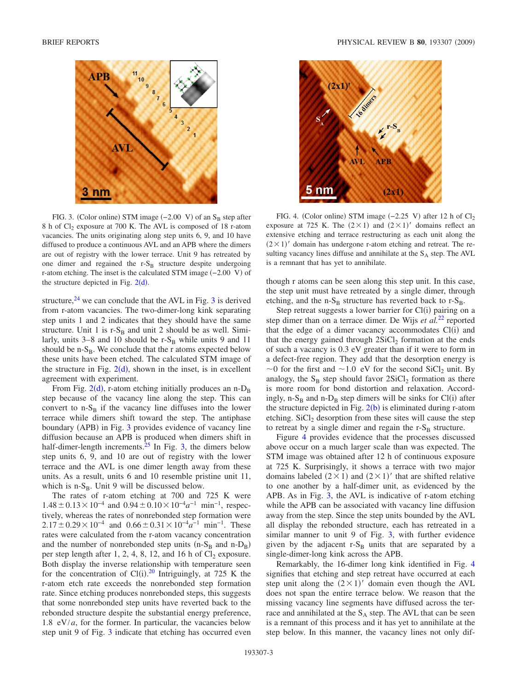<span id="page-2-0"></span>

FIG. 3. (Color online) STM image  $(-2.00 \text{ V})$  of an S<sub>B</sub> step after 8 h of  $Cl_2$  exposure at 700 K. The AVL is composed of 18 r-atom vacancies. The units originating along step units 6, 9, and 10 have diffused to produce a continuous AVL and an APB where the dimers are out of registry with the lower terrace. Unit 9 has retreated by one dimer and regained the  $r-S_B$  structure despite undergoing r-atom etching. The inset is the calculated STM image (-2.00 V) of the structure depicted in Fig.  $2(d)$  $2(d)$ .

structure, $^{24}$  we can conclude that the AVL in Fig. [3](#page-2-0) is derived from r-atom vacancies. The two-dimer-long kink separating step units 1 and 2 indicates that they should have the same structure. Unit 1 is  $r-S_B$  and unit 2 should be as well. Similarly, units  $3-8$  and 10 should be  $r-S_B$  while units 9 and 11 should be  $n-S_B$ . We conclude that the r atoms expected below these units have been etched. The calculated STM image of the structure in Fig.  $2(d)$  $2(d)$ , shown in the inset, is in excellent agreement with experiment.

From Fig.  $2(d)$  $2(d)$ , r-atom etching initially produces an n- $D_B$ step because of the vacancy line along the step. This can convert to  $n-S_B$  if the vacancy line diffuses into the lower terrace while dimers shift toward the step. The antiphase boundary (APB) in Fig. [3](#page-2-0) provides evidence of vacancy line diffusion because an APB is produced when dimers shift in half-dimer-length increments. $25$  In Fig. [3,](#page-2-0) the dimers below step units 6, 9, and 10 are out of registry with the lower terrace and the AVL is one dimer length away from these units. As a result, units 6 and 10 resemble pristine unit 11, which is  $n-S_B$ . Unit 9 will be discussed below.

The rates of r-atom etching at 700 and 725 K were  $1.48 \pm 0.13 \times 10^{-4}$  and  $0.94 \pm 0.10 \times 10^{-4} a^{-1}$  min<sup>-1</sup>, respectively, whereas the rates of nonrebonded step formation were  $2.17 \pm 0.29 \times 10^{-4}$  and  $0.66 \pm 0.31 \times 10^{-4} a^{-1}$  min<sup>-1</sup>. These rates were calculated from the r-atom vacancy concentration and the number of nonrebonded step units  $(n-S_B \text{ and } n-D_B)$ per step length after 1, 2, 4, 8, 12, and 16 h of  $Cl_2$  exposure. Both display the inverse relationship with temperature seen for the concentration of Cl(i).<sup>[20](#page-3-18)</sup> Intriguingly, at 725 K the r-atom etch rate exceeds the nonrebonded step formation rate. Since etching produces nonrebonded steps, this suggests that some nonrebonded step units have reverted back to the rebonded structure despite the substantial energy preference, 1.8  $eV/a$ , for the former. In particular, the vacancies below step unit 9 of Fig. [3](#page-2-0) indicate that etching has occurred even

<span id="page-2-1"></span>

FIG. 4. (Color online) STM image  $(-2.25 \text{ V})$  after 12 h of  $Cl_2$ exposure at 725 K. The  $(2 \times 1)$  and  $(2 \times 1)'$  domains reflect an extensive etching and terrace restructuring as each unit along the  $(2 \times 1)'$  domain has undergone r-atom etching and retreat. The resulting vacancy lines diffuse and annihilate at the  $S_A$  step. The AVL is a remnant that has yet to annihilate.

though r atoms can be seen along this step unit. In this case, the step unit must have retreated by a single dimer, through etching, and the  $n-S_B$  structure has reverted back to  $r-S_B$ .

Step retreat suggests a lower barrier for Cl(i) pairing on a step dimer than on a terrace dimer. De Wijs *et al.*[22](#page-3-20) reported that the edge of a dimer vacancy accommodates  $Cl(i)$  and that the energy gained through  $2SiCl<sub>2</sub>$  formation at the ends of such a vacancy is 0.3 eV greater than if it were to form in a defect-free region. They add that the desorption energy is  $\sim$ 0 for the first and  $\sim$ 1.0 eV for the second SiCl<sub>2</sub> unit. By analogy, the  $S_B$  step should favor  $2SiCl_2$  formation as there is more room for bond distortion and relaxation. Accordingly, n-S<sub>B</sub> and n-D<sub>B</sub> step dimers will be sinks for Cl(i) after the structure depicted in Fig.  $2(b)$  $2(b)$  is eliminated during r-atom etching.  $SiCl<sub>2</sub>$  desorption from these sites will cause the step to retreat by a single dimer and regain the  $r-S_B$  structure.

Figure [4](#page-2-1) provides evidence that the processes discussed above occur on a much larger scale than was expected. The STM image was obtained after 12 h of continuous exposure at 725 K. Surprisingly, it shows a terrace with two major domains labeled  $(2 \times 1)$  and  $(2 \times 1)'$  that are shifted relative to one another by a half-dimer unit, as evidenced by the APB. As in Fig. [3,](#page-2-0) the AVL is indicative of r-atom etching while the APB can be associated with vacancy line diffusion away from the step. Since the step units bounded by the AVL all display the rebonded structure, each has retreated in a similar manner to unit 9 of Fig. [3,](#page-2-0) with further evidence given by the adjacent  $r-S_B$  units that are separated by a single-dimer-long kink across the APB.

Remarkably, the 16-dimer long kink identified in Fig. [4](#page-2-1) signifies that etching and step retreat have occurred at each step unit along the  $(2 \times 1)'$  domain even though the AVL does not span the entire terrace below. We reason that the missing vacancy line segments have diffused across the terrace and annihilated at the  $S_A$  step. The AVL that can be seen is a remnant of this process and it has yet to annihilate at the step below. In this manner, the vacancy lines not only dif